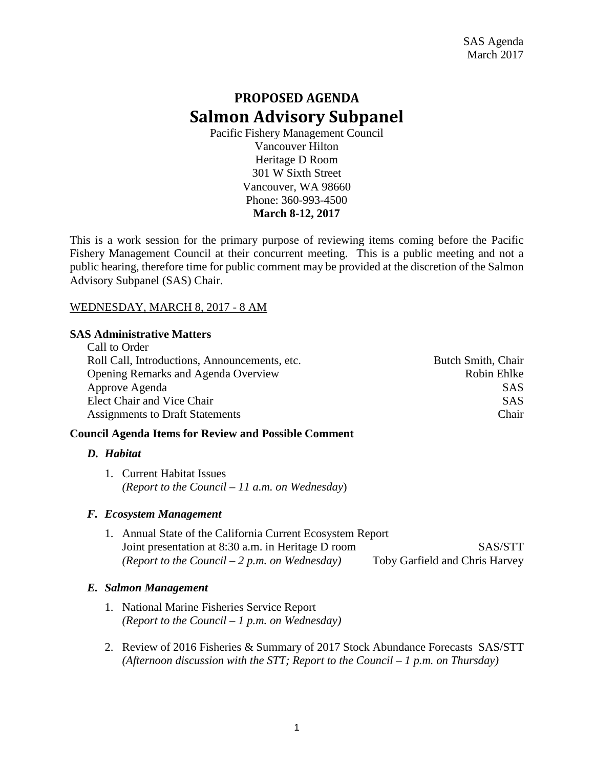# **PROPOSED AGENDA Salmon Advisory Subpanel**

Pacific Fishery Management Council Vancouver Hilton Heritage D Room 301 W Sixth Street Vancouver, WA 98660 Phone: 360-993-4500 **March 8-12, 2017**

This is a work session for the primary purpose of reviewing items coming before the Pacific Fishery Management Council at their concurrent meeting. This is a public meeting and not a public hearing, therefore time for public comment may be provided at the discretion of the Salmon Advisory Subpanel (SAS) Chair.

# WEDNESDAY, MARCH 8, 2017 - 8 AM

#### **SAS Administrative Matters**  $C_1$ 11 to  $C_2$ d

| Call to Order                                 |                    |
|-----------------------------------------------|--------------------|
| Roll Call, Introductions, Announcements, etc. | Butch Smith, Chair |
| Opening Remarks and Agenda Overview           | Robin Ehlke        |
| Approve Agenda                                | <b>SAS</b>         |
| Elect Chair and Vice Chair                    | <b>SAS</b>         |
| <b>Assignments to Draft Statements</b>        | Chair              |
|                                               |                    |

# **Council Agenda Items for Review and Possible Comment**

# *D. Habitat*

1. Current Habitat Issues *(Report to the Council – 11 a.m. on Wednesday*)

# *F. Ecosystem Management*

1. Annual State of the California Current Ecosystem Report Joint presentation at 8:30 a.m. in Heritage D room SAS/STT *(Report to the Council – 2 p.m. on Wednesday)* Toby Garfield and Chris Harvey

# *E. Salmon Management*

- 1. National Marine Fisheries Service Report *(Report to the Council – 1 p.m. on Wednesday)*
- 2. Review of 2016 Fisheries & Summary of 2017 Stock Abundance Forecasts SAS/STT *(Afternoon discussion with the STT; Report to the Council – 1 p.m. on Thursday)*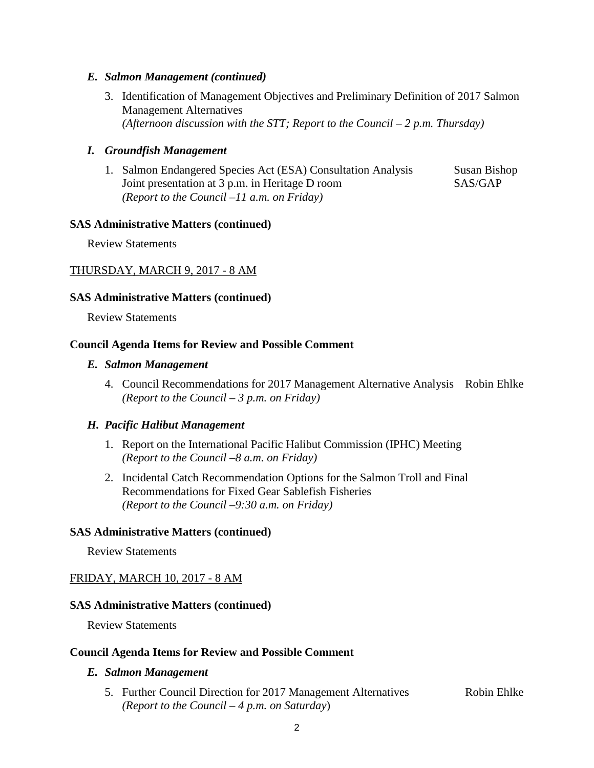# *E. Salmon Management (continued)*

3. Identification of Management Objectives and Preliminary Definition of 2017 Salmon Management Alternatives *(Afternoon discussion with the STT; Report to the Council – 2 p.m. Thursday)*

## *I. Groundfish Management*

1. Salmon Endangered Species Act (ESA) Consultation Analysis Susan Bishop Joint presentation at 3 p.m. in Heritage D room SAS/GAP *(Report to the Council –11 a.m. on Friday)*

#### **SAS Administrative Matters (continued)**

Review Statements

# THURSDAY, MARCH 9, 2017 - 8 AM

#### **SAS Administrative Matters (continued)**

Review Statements

#### **Council Agenda Items for Review and Possible Comment**

#### *E. Salmon Management*

4. Council Recommendations for 2017 Management Alternative Analysis Robin Ehlke *(Report to the Council – 3 p.m. on Friday)*

# *H. Pacific Halibut Management*

- 1. Report on the International Pacific Halibut Commission (IPHC) Meeting *(Report to the Council –8 a.m. on Friday)*
- 2. Incidental Catch Recommendation Options for the Salmon Troll and Final Recommendations for Fixed Gear Sablefish Fisheries *(Report to the Council –9:30 a.m. on Friday)*

# **SAS Administrative Matters (continued)**

Review Statements

# FRIDAY, MARCH 10, 2017 - 8 AM

#### **SAS Administrative Matters (continued)**

Review Statements

#### **Council Agenda Items for Review and Possible Comment**

#### *E. Salmon Management*

5. Further Council Direction for 2017 Management Alternatives Robin Ehlke *(Report to the Council – 4 p.m. on Saturday*)